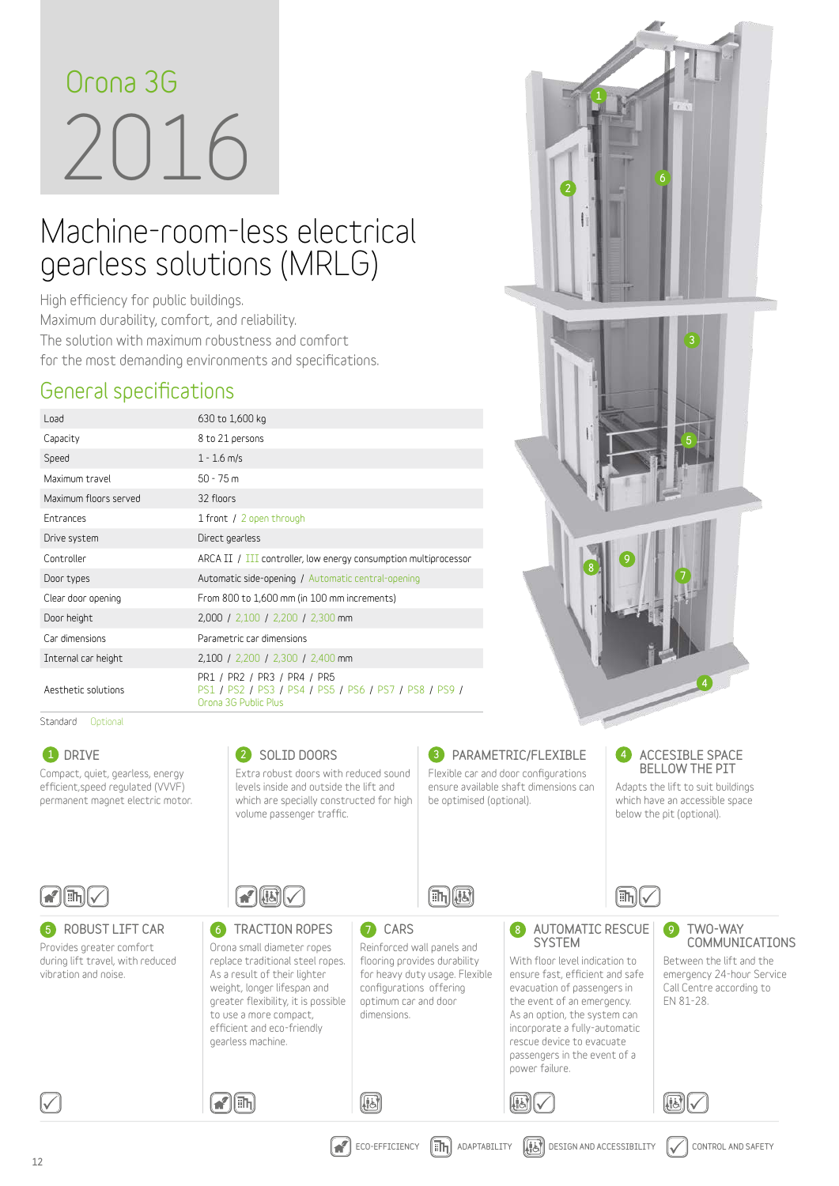# 2016 **Orona 3G**

# Machine-room-less electrical gearless solutions (MRLG)

**High efficiency for public buildings. Maximum durability, comfort, and reliability. The solution with maximum robustness and comfort for the most demanding environments and specifications.**

#### **General specifications**

| Load                  | 630 to 1,600 kg                                                                                              |
|-----------------------|--------------------------------------------------------------------------------------------------------------|
| Capacity              | 8 to 21 persons                                                                                              |
| Speed                 | $1 - 1.6$ m/s                                                                                                |
| Maximum travel        | $50 - 75$ m                                                                                                  |
| Maximum floors served | 32 floors                                                                                                    |
| Entrances             | 1 front / 2 open through                                                                                     |
| Drive system          | Direct gearless                                                                                              |
| Controller            | ARCA II / III controller, low energy consumption multiprocessor                                              |
| Door types            | Automatic side-opening / Automatic central-opening                                                           |
| Clear door opening    | From 800 to 1,600 mm (in 100 mm increments)                                                                  |
| Door height           | 2,000 / 2,100 / 2,200 / 2,300 mm                                                                             |
| Car dimensions        | Parametric car dimensions                                                                                    |
| Internal car height   | 2,100 / 2,200 / 2,300 / 2,400 mm                                                                             |
| Aesthetic solutions   | PR1 / PR2 / PR3 / PR4 / PR5<br>PS1 / PS2 / PS3 / PS4 / PS5 / PS6 / PS7 / PS8 / PS9 /<br>Orona 3G Public Plus |

Standard Optional



1

2

5

3

6

7

9

8

4

12